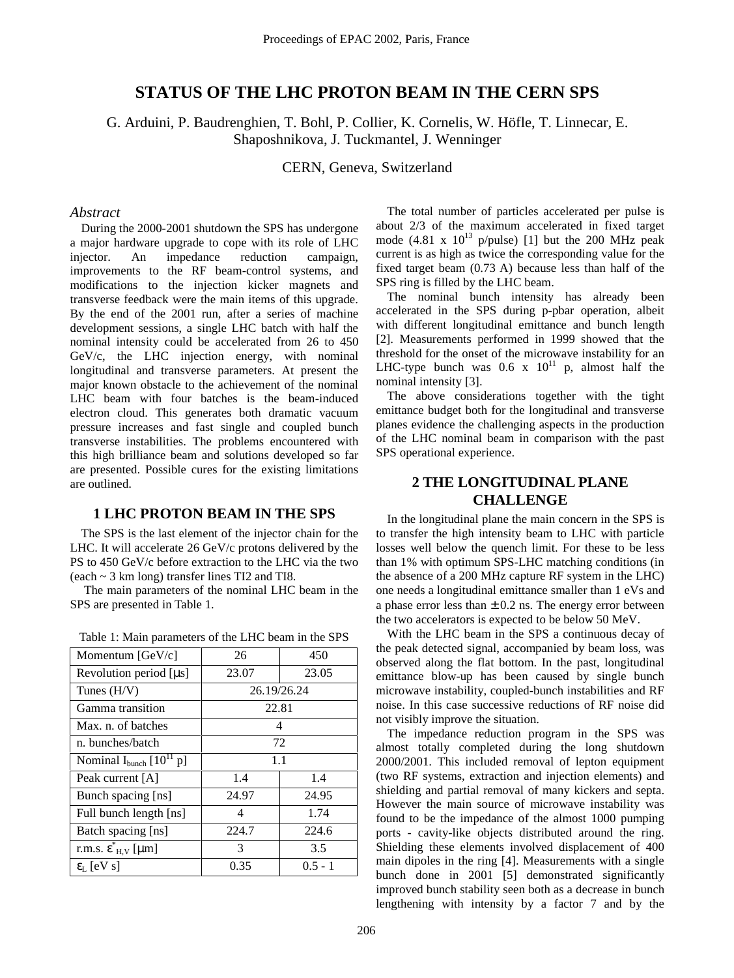# **STATUS OF THE LHC PROTON BEAM IN THE CERN SPS**

G. Arduini, P. Baudrenghien, T. Bohl, P. Collier, K. Cornelis, W. Höfle, T. Linnecar, E. Shaposhnikova, J. Tuckmantel, J. Wenninger

CERN, Geneva, Switzerland

### *Abstract*

During the 2000-2001 shutdown the SPS has undergone a major hardware upgrade to cope with its role of LHC injector. An impedance reduction campaign, improvements to the RF beam-control systems, and modifications to the injection kicker magnets and transverse feedback were the main items of this upgrade. By the end of the 2001 run, after a series of machine development sessions, a single LHC batch with half the nominal intensity could be accelerated from 26 to 450 GeV/c, the LHC injection energy, with nominal longitudinal and transverse parameters. At present the major known obstacle to the achievement of the nominal LHC beam with four batches is the beam-induced electron cloud. This generates both dramatic vacuum pressure increases and fast single and coupled bunch transverse instabilities. The problems encountered with this high brilliance beam and solutions developed so far are presented. Possible cures for the existing limitations are outlined.

### **1 LHC PROTON BEAM IN THE SPS**

The SPS is the last element of the injector chain for the LHC. It will accelerate 26 GeV/c protons delivered by the PS to 450 GeV/c before extraction to the LHC via the two (each ~ 3 km long) transfer lines TI2 and TI8.

 The main parameters of the nominal LHC beam in the SPS are presented in Table 1.

| Momentum [GeV/c]                         | 26          | 450       |
|------------------------------------------|-------------|-----------|
| Revolution period $[\mu s]$              | 23.07       | 23.05     |
| Tunes $(H/V)$                            | 26.19/26.24 |           |
| Gamma transition                         | 22.81       |           |
| Max. n. of batches                       | 4           |           |
| n. bunches/batch                         | 72          |           |
| Nominal $I_{bunch}$ [10 <sup>11</sup> p] | 1.1         |           |
| Peak current [A]                         | 1.4         | 1.4       |
| Bunch spacing [ns]                       | 24.97       | 24.95     |
| Full bunch length [ns]                   | 4           | 1.74      |
| Batch spacing [ns]                       | 224.7       | 224.6     |
| r.m.s. $\epsilon_{H,V}^{\dagger}$ [µm]   | 3           | 3.5       |
| $\epsilon_{\rm L}$ [eV s]                | 0.35        | $0.5 - 1$ |

Table 1: Main parameters of the LHC beam in the SPS

The total number of particles accelerated per pulse is about 2/3 of the maximum accelerated in fixed target mode  $(4.81 \times 10^{13} \text{ p/pulse})$  [1] but the 200 MHz peak current is as high as twice the corresponding value for the fixed target beam (0.73 A) because less than half of the SPS ring is filled by the LHC beam.

The nominal bunch intensity has already been accelerated in the SPS during p-pbar operation, albeit with different longitudinal emittance and bunch length [2]. Measurements performed in 1999 showed that the threshold for the onset of the microwave instability for an LHC-type bunch was  $0.6 \times 10^{11}$  p, almost half the nominal intensity [3].

The above considerations together with the tight emittance budget both for the longitudinal and transverse planes evidence the challenging aspects in the production of the LHC nominal beam in comparison with the past SPS operational experience.

# **2 THE LONGITUDINAL PLANE CHALLENGE**

In the longitudinal plane the main concern in the SPS is to transfer the high intensity beam to LHC with particle losses well below the quench limit. For these to be less than 1% with optimum SPS-LHC matching conditions (in the absence of a 200 MHz capture RF system in the LHC) one needs a longitudinal emittance smaller than 1 eVs and a phase error less than  $\pm$  0.2 ns. The energy error between the two accelerators is expected to be below 50 MeV.

With the LHC beam in the SPS a continuous decay of the peak detected signal, accompanied by beam loss, was observed along the flat bottom. In the past, longitudinal emittance blow-up has been caused by single bunch microwave instability, coupled-bunch instabilities and RF noise. In this case successive reductions of RF noise did not visibly improve the situation.

The impedance reduction program in the SPS was almost totally completed during the long shutdown 2000/2001. This included removal of lepton equipment (two RF systems, extraction and injection elements) and shielding and partial removal of many kickers and septa. However the main source of microwave instability was found to be the impedance of the almost 1000 pumping ports - cavity-like objects distributed around the ring. Shielding these elements involved displacement of 400 main dipoles in the ring [4]. Measurements with a single bunch done in 2001 [5] demonstrated significantly improved bunch stability seen both as a decrease in bunch lengthening with intensity by a factor 7 and by the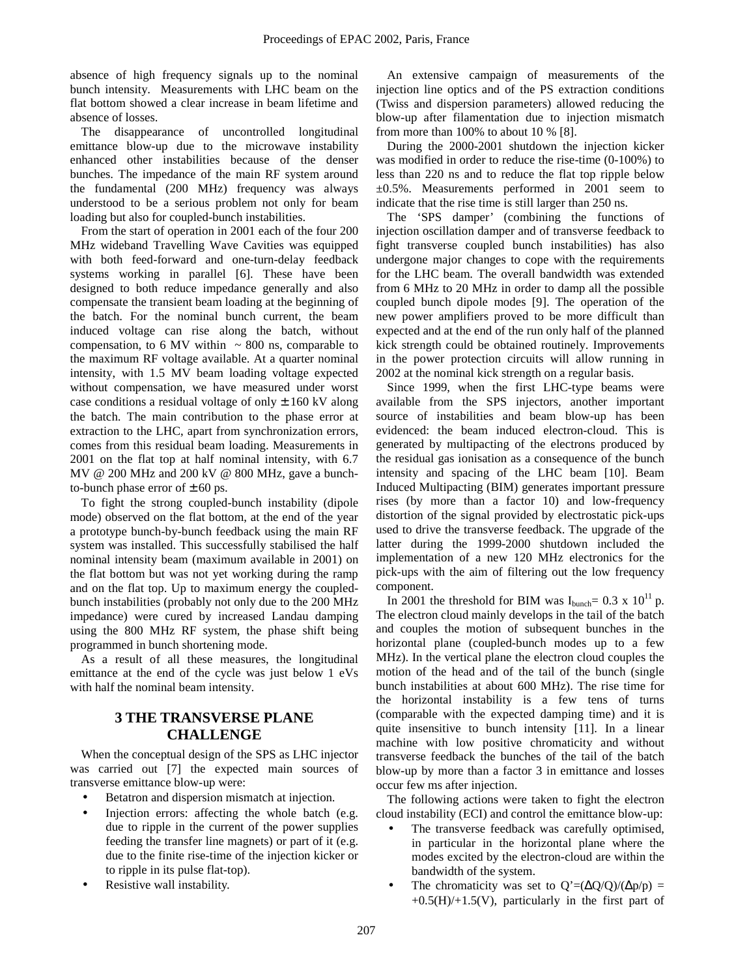absence of high frequency signals up to the nominal bunch intensity. Measurements with LHC beam on the flat bottom showed a clear increase in beam lifetime and absence of losses.

The disappearance of uncontrolled longitudinal emittance blow-up due to the microwave instability enhanced other instabilities because of the denser bunches. The impedance of the main RF system around the fundamental (200 MHz) frequency was always understood to be a serious problem not only for beam loading but also for coupled-bunch instabilities.

From the start of operation in 2001 each of the four 200 MHz wideband Travelling Wave Cavities was equipped with both feed-forward and one-turn-delay feedback systems working in parallel [6]. These have been designed to both reduce impedance generally and also compensate the transient beam loading at the beginning of the batch. For the nominal bunch current, the beam induced voltage can rise along the batch, without compensation, to 6 MV within  $\sim 800$  ns, comparable to the maximum RF voltage available. At a quarter nominal intensity, with 1.5 MV beam loading voltage expected without compensation, we have measured under worst case conditions a residual voltage of only  $\pm$  160 kV along the batch. The main contribution to the phase error at extraction to the LHC, apart from synchronization errors, comes from this residual beam loading. Measurements in 2001 on the flat top at half nominal intensity, with 6.7 MV @ 200 MHz and 200 kV @ 800 MHz, gave a bunchto-bunch phase error of  $\pm$  60 ps.

To fight the strong coupled-bunch instability (dipole mode) observed on the flat bottom, at the end of the year a prototype bunch-by-bunch feedback using the main RF system was installed. This successfully stabilised the half nominal intensity beam (maximum available in 2001) on the flat bottom but was not yet working during the ramp and on the flat top. Up to maximum energy the coupledbunch instabilities (probably not only due to the 200 MHz impedance) were cured by increased Landau damping using the 800 MHz RF system, the phase shift being programmed in bunch shortening mode.

As a result of all these measures, the longitudinal emittance at the end of the cycle was just below 1 eVs with half the nominal beam intensity.

## **3 THE TRANSVERSE PLANE CHALLENGE**

When the conceptual design of the SPS as LHC injector was carried out [7] the expected main sources of transverse emittance blow-up were:

- Betatron and dispersion mismatch at injection.
- Injection errors: affecting the whole batch (e.g. due to ripple in the current of the power supplies feeding the transfer line magnets) or part of it (e.g. due to the finite rise-time of the injection kicker or to ripple in its pulse flat-top).
- Resistive wall instability.

An extensive campaign of measurements of the injection line optics and of the PS extraction conditions (Twiss and dispersion parameters) allowed reducing the blow-up after filamentation due to injection mismatch from more than 100% to about 10 % [8].

During the 2000-2001 shutdown the injection kicker was modified in order to reduce the rise-time (0-100%) to less than 220 ns and to reduce the flat top ripple below  $\pm 0.5$ %. Measurements performed in 2001 seem to indicate that the rise time is still larger than 250 ns.

The 'SPS damper' (combining the functions of injection oscillation damper and of transverse feedback to fight transverse coupled bunch instabilities) has also undergone major changes to cope with the requirements for the LHC beam. The overall bandwidth was extended from 6 MHz to 20 MHz in order to damp all the possible coupled bunch dipole modes [9]. The operation of the new power amplifiers proved to be more difficult than expected and at the end of the run only half of the planned kick strength could be obtained routinely. Improvements in the power protection circuits will allow running in 2002 at the nominal kick strength on a regular basis.

Since 1999, when the first LHC-type beams were available from the SPS injectors, another important source of instabilities and beam blow-up has been evidenced: the beam induced electron-cloud. This is generated by multipacting of the electrons produced by the residual gas ionisation as a consequence of the bunch intensity and spacing of the LHC beam [10]. Beam Induced Multipacting (BIM) generates important pressure rises (by more than a factor 10) and low-frequency distortion of the signal provided by electrostatic pick-ups used to drive the transverse feedback. The upgrade of the latter during the 1999-2000 shutdown included the implementation of a new 120 MHz electronics for the pick-ups with the aim of filtering out the low frequency component.

In 2001 the threshold for BIM was  $I_{\text{bunch}}= 0.3 \times 10^{11}$  p. The electron cloud mainly develops in the tail of the batch and couples the motion of subsequent bunches in the horizontal plane (coupled-bunch modes up to a few MHz). In the vertical plane the electron cloud couples the motion of the head and of the tail of the bunch (single bunch instabilities at about 600 MHz). The rise time for the horizontal instability is a few tens of turns (comparable with the expected damping time) and it is quite insensitive to bunch intensity [11]. In a linear machine with low positive chromaticity and without transverse feedback the bunches of the tail of the batch blow-up by more than a factor 3 in emittance and losses occur few ms after injection.

The following actions were taken to fight the electron cloud instability (ECI) and control the emittance blow-up:

- The transverse feedback was carefully optimised, in particular in the horizontal plane where the modes excited by the electron-cloud are within the bandwidth of the system.
- The chromaticity was set to  $Q'=(\Delta Q/Q)/(\Delta p/p)$  =  $+0.5(H)/+1.5(V)$ , particularly in the first part of